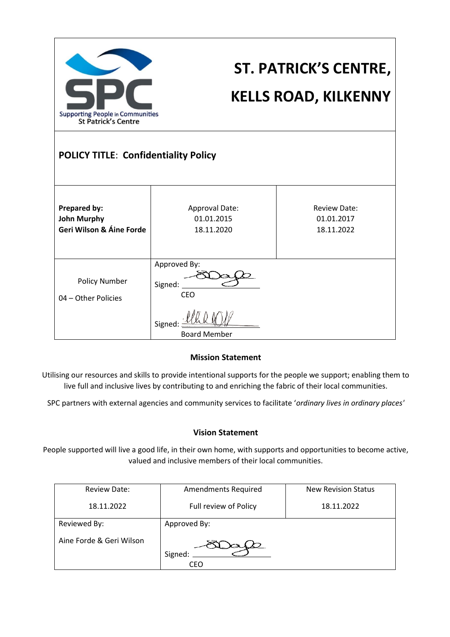| <b>Supporting People in Communities</b><br><b>St Patrick's Centre</b><br><b>POLICY TITLE: Confidentiality Policy</b> |                                                                         | <b>ST. PATRICK'S CENTRE,</b><br><b>KELLS ROAD, KILKENNY</b> |
|----------------------------------------------------------------------------------------------------------------------|-------------------------------------------------------------------------|-------------------------------------------------------------|
| <b>Prepared by:</b><br><b>John Murphy</b><br>Geri Wilson & Áine Forde                                                | Approval Date:<br>01.01.2015<br>18.11.2020                              | <b>Review Date:</b><br>01.01.2017<br>18.11.2022             |
| Policy Number<br>04 - Other Policies                                                                                 | Approved By:<br>Signed:<br><b>CEO</b><br>Signed:<br><b>Board Member</b> |                                                             |

#### **Mission Statement**

Utilising our resources and skills to provide intentional supports for the people we support; enabling them to live full and inclusive lives by contributing to and enriching the fabric of their local communities.

SPC partners with external agencies and community services to facilitate '*ordinary lives in ordinary places'*

#### **Vision Statement**

People supported will live a good life, in their own home, with supports and opportunities to become active, valued and inclusive members of their local communities.

| <b>Review Date:</b>      | <b>Amendments Required</b> | <b>New Revision Status</b> |
|--------------------------|----------------------------|----------------------------|
| 18.11.2022               | Full review of Policy      | 18.11.2022                 |
| Reviewed By:             | Approved By:               |                            |
| Aine Forde & Geri Wilson | Signed:<br>CEO             |                            |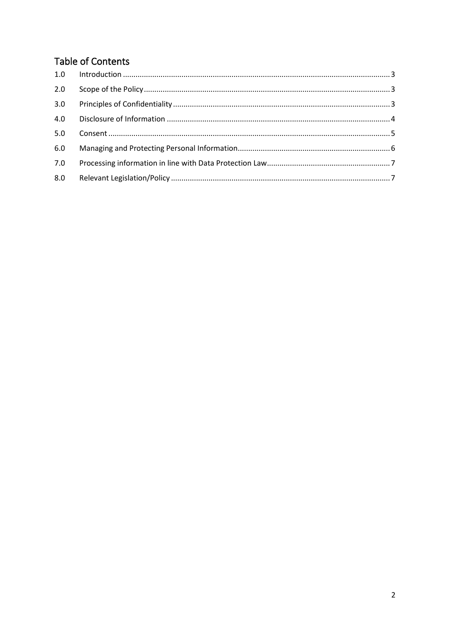# **Table of Contents**

| 2.0 |  |
|-----|--|
| 3.0 |  |
| 4.0 |  |
| 5.0 |  |
| 6.0 |  |
| 7.0 |  |
| 8.0 |  |
|     |  |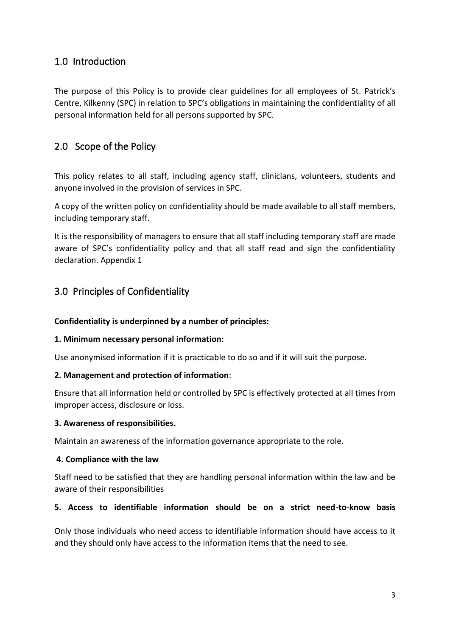### <span id="page-2-0"></span>1.0 Introduction

The purpose of this Policy is to provide clear guidelines for all employees of St. Patrick's Centre, Kilkenny (SPC) in relation to SPC's obligations in maintaining the confidentiality of all personal information held for all persons supported by SPC.

# <span id="page-2-1"></span>2.0 Scope of the Policy

This policy relates to all staff, including agency staff, clinicians, volunteers, students and anyone involved in the provision of services in SPC.

A copy of the written policy on confidentiality should be made available to all staff members, including temporary staff.

It is the responsibility of managers to ensure that all staff including temporary staff are made aware of SPC's confidentiality policy and that all staff read and sign the confidentiality declaration. Appendix 1

## <span id="page-2-2"></span>3.0 Principles of Confidentiality

### **Confidentiality is underpinned by a number of principles:**

### **1. Minimum necessary personal information:**

Use anonymised information if it is practicable to do so and if it will suit the purpose.

### **2. Management and protection of information**:

Ensure that all information held or controlled by SPC is effectively protected at all times from improper access, disclosure or loss.

### **3. Awareness of responsibilities.**

Maintain an awareness of the information governance appropriate to the role.

### **4. Compliance with the law**

Staff need to be satisfied that they are handling personal information within the law and be aware of their responsibilities

### **5. Access to identifiable information should be on a strict need-to-know basis**

Only those individuals who need access to identifiable information should have access to it and they should only have access to the information items that the need to see.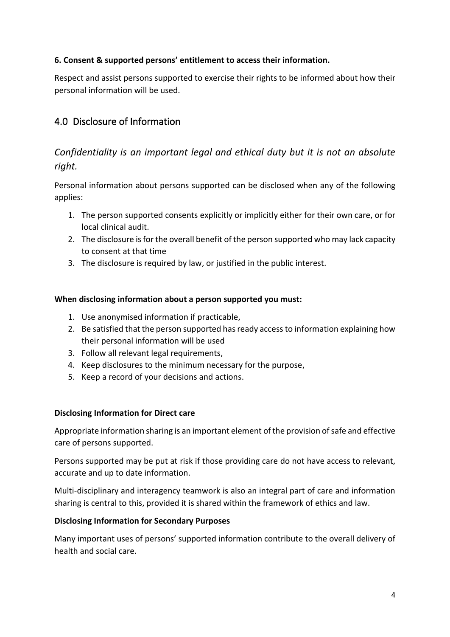### **6. Consent & supported persons' entitlement to access their information.**

Respect and assist persons supported to exercise their rights to be informed about how their personal information will be used.

## <span id="page-3-0"></span>4.0 Disclosure of Information

## *Confidentiality is an important legal and ethical duty but it is not an absolute right.*

Personal information about persons supported can be disclosed when any of the following applies:

- 1. The person supported consents explicitly or implicitly either for their own care, or for local clinical audit.
- 2. The disclosure is for the overall benefit of the person supported who may lack capacity to consent at that time
- 3. The disclosure is required by law, or justified in the public interest.

### **When disclosing information about a person supported you must:**

- 1. Use anonymised information if practicable,
- 2. Be satisfied that the person supported has ready access to information explaining how their personal information will be used
- 3. Follow all relevant legal requirements,
- 4. Keep disclosures to the minimum necessary for the purpose,
- 5. Keep a record of your decisions and actions.

#### **Disclosing Information for Direct care**

Appropriate information sharing is an important element of the provision of safe and effective care of persons supported.

Persons supported may be put at risk if those providing care do not have access to relevant, accurate and up to date information.

Multi-disciplinary and interagency teamwork is also an integral part of care and information sharing is central to this, provided it is shared within the framework of ethics and law.

#### **Disclosing Information for Secondary Purposes**

Many important uses of persons' supported information contribute to the overall delivery of health and social care.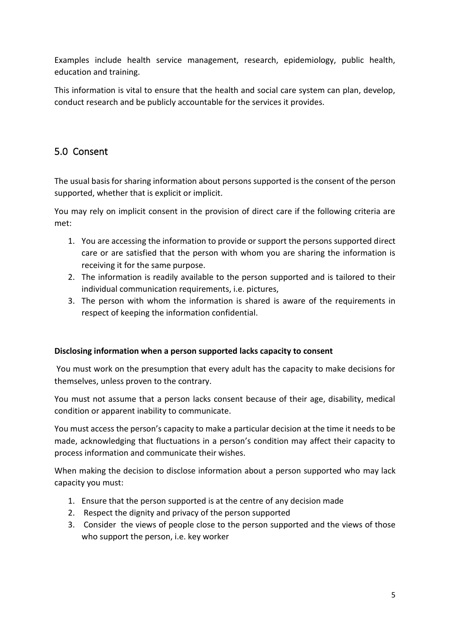Examples include health service management, research, epidemiology, public health, education and training.

This information is vital to ensure that the health and social care system can plan, develop, conduct research and be publicly accountable for the services it provides.

# <span id="page-4-0"></span>5.0 Consent

The usual basis for sharing information about persons supported is the consent of the person supported, whether that is explicit or implicit.

You may rely on implicit consent in the provision of direct care if the following criteria are met:

- 1. You are accessing the information to provide or support the persons supported direct care or are satisfied that the person with whom you are sharing the information is receiving it for the same purpose.
- 2. The information is readily available to the person supported and is tailored to their individual communication requirements, i.e. pictures,
- 3. The person with whom the information is shared is aware of the requirements in respect of keeping the information confidential.

### **Disclosing information when a person supported lacks capacity to consent**

You must work on the presumption that every adult has the capacity to make decisions for themselves, unless proven to the contrary.

You must not assume that a person lacks consent because of their age, disability, medical condition or apparent inability to communicate.

You must access the person's capacity to make a particular decision at the time it needs to be made, acknowledging that fluctuations in a person's condition may affect their capacity to process information and communicate their wishes.

When making the decision to disclose information about a person supported who may lack capacity you must:

- 1. Ensure that the person supported is at the centre of any decision made
- 2. Respect the dignity and privacy of the person supported
- 3. Consider the views of people close to the person supported and the views of those who support the person, i.e. key worker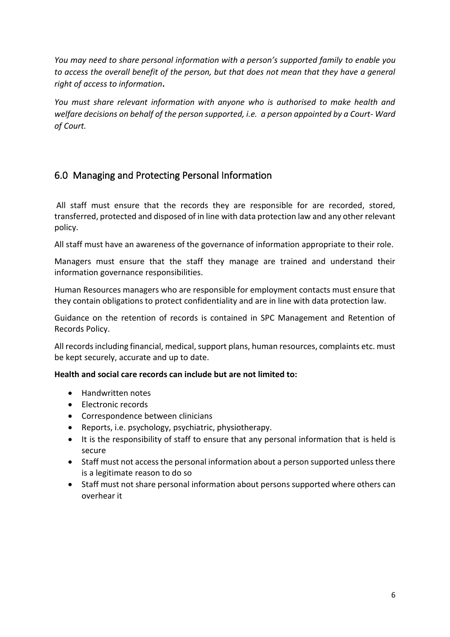*You may need to share personal information with a person's supported family to enable you to access the overall benefit of the person, but that does not mean that they have a general right of access to information***.**

*You must share relevant information with anyone who is authorised to make health and welfare decisions on behalf of the person supported, i.e. a person appointed by a Court- Ward of Court.*

# <span id="page-5-0"></span>6.0 Managing and Protecting Personal Information

All staff must ensure that the records they are responsible for are recorded, stored, transferred, protected and disposed of in line with data protection law and any other relevant policy.

All staff must have an awareness of the governance of information appropriate to their role.

Managers must ensure that the staff they manage are trained and understand their information governance responsibilities.

Human Resources managers who are responsible for employment contacts must ensure that they contain obligations to protect confidentiality and are in line with data protection law.

Guidance on the retention of records is contained in SPC Management and Retention of Records Policy.

All records including financial, medical, support plans, human resources, complaints etc. must be kept securely, accurate and up to date.

### **Health and social care records can include but are not limited to:**

- Handwritten notes
- Electronic records
- Correspondence between clinicians
- Reports, i.e. psychology, psychiatric, physiotherapy.
- It is the responsibility of staff to ensure that any personal information that is held is secure
- Staff must not access the personal information about a person supported unless there is a legitimate reason to do so
- Staff must not share personal information about persons supported where others can overhear it